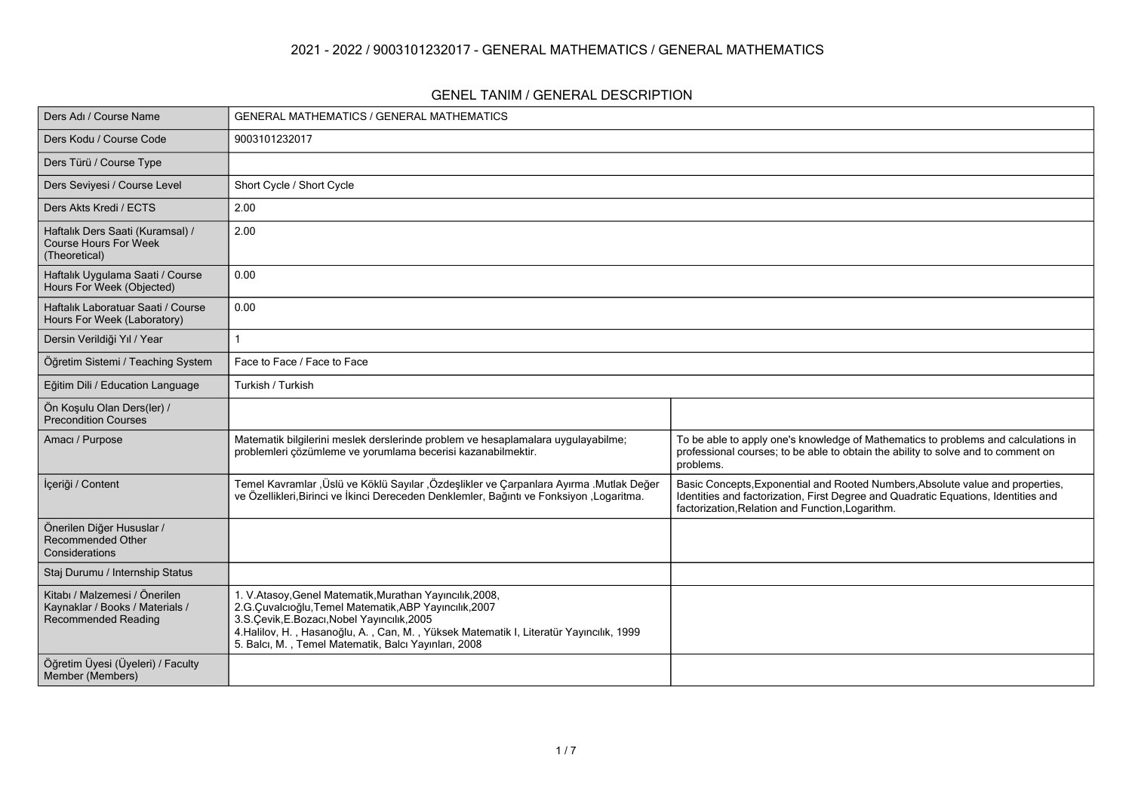#### **2021 - 2022 / 9003101232017 - GENERAL MATHEMATICS / GENERAL MATHEMATICS**

#### **GENEL TANIM / GENERAL DESCRIPTION**

| Ders Adı / Course Name                                                                  | <b>GENERAL MATHEMATICS / GENERAL MATHEMATICS</b>                                                                                                                                                                                                                                                                      |                                                                                                                                                                                                                          |
|-----------------------------------------------------------------------------------------|-----------------------------------------------------------------------------------------------------------------------------------------------------------------------------------------------------------------------------------------------------------------------------------------------------------------------|--------------------------------------------------------------------------------------------------------------------------------------------------------------------------------------------------------------------------|
| Ders Kodu / Course Code                                                                 | 9003101232017                                                                                                                                                                                                                                                                                                         |                                                                                                                                                                                                                          |
| Ders Türü / Course Type                                                                 |                                                                                                                                                                                                                                                                                                                       |                                                                                                                                                                                                                          |
| Ders Seviyesi / Course Level                                                            | Short Cycle / Short Cycle                                                                                                                                                                                                                                                                                             |                                                                                                                                                                                                                          |
| Ders Akts Kredi / ECTS                                                                  | 2.00                                                                                                                                                                                                                                                                                                                  |                                                                                                                                                                                                                          |
| Haftalık Ders Saati (Kuramsal) /<br><b>Course Hours For Week</b><br>(Theoretical)       | 2.00                                                                                                                                                                                                                                                                                                                  |                                                                                                                                                                                                                          |
| Haftalık Uygulama Saati / Course<br>Hours For Week (Objected)                           | 0.00                                                                                                                                                                                                                                                                                                                  |                                                                                                                                                                                                                          |
| Haftalık Laboratuar Saati / Course<br>Hours For Week (Laboratory)                       | 0.00                                                                                                                                                                                                                                                                                                                  |                                                                                                                                                                                                                          |
| Dersin Verildiği Yıl / Year                                                             |                                                                                                                                                                                                                                                                                                                       |                                                                                                                                                                                                                          |
| Öğretim Sistemi / Teaching System                                                       | Face to Face / Face to Face                                                                                                                                                                                                                                                                                           |                                                                                                                                                                                                                          |
| Eğitim Dili / Education Language                                                        | Turkish / Turkish                                                                                                                                                                                                                                                                                                     |                                                                                                                                                                                                                          |
| Ön Koşulu Olan Ders(ler) /<br><b>Precondition Courses</b>                               |                                                                                                                                                                                                                                                                                                                       |                                                                                                                                                                                                                          |
| Amacı / Purpose                                                                         | Matematik bilgilerini meslek derslerinde problem ve hesaplamalara uygulayabilme;<br>problemleri çözümleme ve yorumlama becerisi kazanabilmektir.                                                                                                                                                                      | To be able to apply one's knowledge of Mathematics to problems and calculations in<br>professional courses; to be able to obtain the ability to solve and to comment on<br>problems.                                     |
| İçeriği / Content                                                                       | Temel Kavramlar ,Üslü ve Köklü Sayılar ,Özdeşlikler ve Çarpanlara Ayırma .Mutlak Değer<br>ve Özellikleri, Birinci ve İkinci Dereceden Denklemler, Bağıntı ve Fonksiyon , Logaritma.                                                                                                                                   | Basic Concepts, Exponential and Rooted Numbers, Absolute value and properties,<br>Identities and factorization, First Degree and Quadratic Equations, Identities and<br>factorization, Relation and Function, Logarithm. |
| Önerilen Diğer Hususlar /<br>Recommended Other<br>Considerations                        |                                                                                                                                                                                                                                                                                                                       |                                                                                                                                                                                                                          |
| Staj Durumu / Internship Status                                                         |                                                                                                                                                                                                                                                                                                                       |                                                                                                                                                                                                                          |
| Kitabı / Malzemesi / Önerilen<br>Kaynaklar / Books / Materials /<br>Recommended Reading | 1. V.Atasoy, Genel Matematik, Murathan Yayıncılık, 2008,<br>2.G.Çuvalcıoğlu, Temel Matematik, ABP Yayıncılık, 2007<br>3.S. Çevik, E. Bozacı, Nobel Yayıncılık, 2005<br>4. Halilov, H., Hasanoğlu, A., Can, M., Yüksek Matematik I, Literatür Yayıncılık, 1999<br>5. Balcı, M., Temel Matematik, Balcı Yayınları, 2008 |                                                                                                                                                                                                                          |
| Öğretim Üyesi (Üyeleri) / Faculty<br>Member (Members)                                   |                                                                                                                                                                                                                                                                                                                       |                                                                                                                                                                                                                          |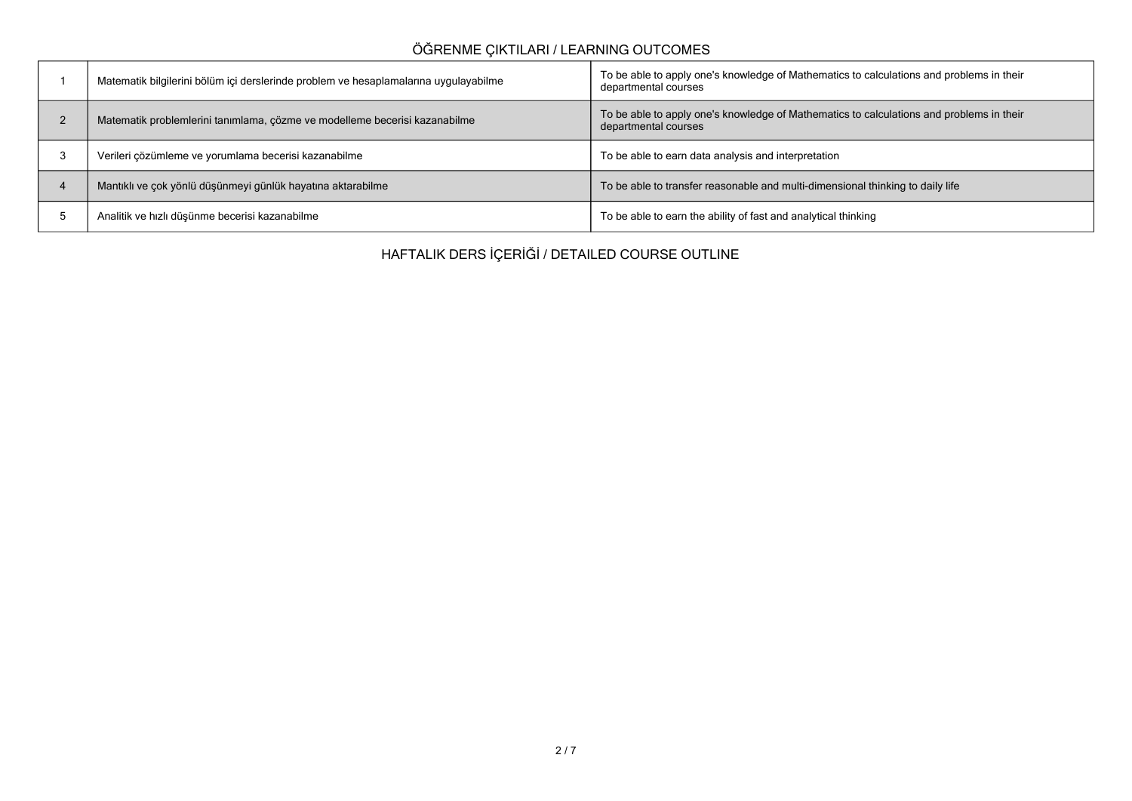## **ÖĞRENME ÇIKTILARI / LEARNING OUTCOMES**

| Matematik bilgilerini bölüm içi derslerinde problem ve hesaplamalarına uygulayabilme | To be able to apply one's knowledge of Mathematics to calculations and problems in their<br>departmental courses |
|--------------------------------------------------------------------------------------|------------------------------------------------------------------------------------------------------------------|
| Matematik problemlerini tanımlama, çözme ve modelleme becerisi kazanabilme           | To be able to apply one's knowledge of Mathematics to calculations and problems in their<br>departmental courses |
| Verileri çözümleme ve yorumlama becerisi kazanabilme                                 | To be able to earn data analysis and interpretation                                                              |
| Mantıklı ve çok yönlü düşünmeyi günlük hayatına aktarabilme                          | To be able to transfer reasonable and multi-dimensional thinking to daily life                                   |
| Analitik ve hızlı düşünme becerisi kazanabilme                                       | To be able to earn the ability of fast and analytical thinking                                                   |

**HAFTALIK DERS İÇERİĞİ / DETAILED COURSE OUTLINE**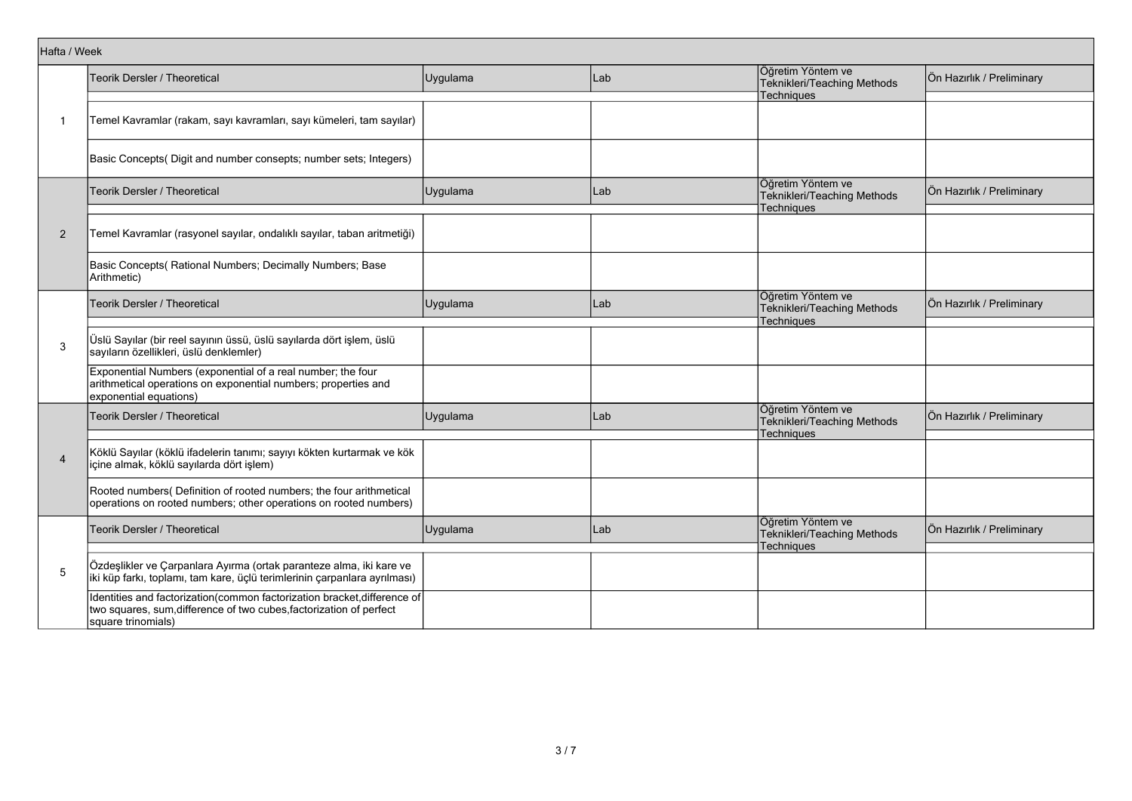|                                                   | Teorik Dersler / Theoretical                                                                                                                                          | Uygulama | Lab | Öğretim Yöntem ve<br>Teknikleri/Teaching Methods                      | Ön Hazırlık / Preliminary |
|---------------------------------------------------|-----------------------------------------------------------------------------------------------------------------------------------------------------------------------|----------|-----|-----------------------------------------------------------------------|---------------------------|
|                                                   |                                                                                                                                                                       |          |     | Techniques                                                            |                           |
| -1                                                | Temel Kavramlar (rakam, sayı kavramları, sayı kümeleri, tam sayılar)                                                                                                  |          |     |                                                                       |                           |
|                                                   | Basic Concepts( Digit and number consepts; number sets; Integers)                                                                                                     |          |     |                                                                       |                           |
|                                                   | Teorik Dersler / Theoretical                                                                                                                                          | Uygulama | Lab | Öğretim Yöntem ve<br>Teknikleri/Teaching Methods<br>Techniques        | Ön Hazırlık / Preliminary |
|                                                   |                                                                                                                                                                       |          |     |                                                                       |                           |
| $\overline{2}$                                    | Temel Kavramlar (rasyonel sayılar, ondalıklı sayılar, taban aritmetiği)                                                                                               |          |     |                                                                       |                           |
|                                                   | Basic Concepts( Rational Numbers; Decimally Numbers; Base<br>Arithmetic)                                                                                              |          |     |                                                                       |                           |
|                                                   | Teorik Dersler / Theoretical                                                                                                                                          | Uygulama | Lab | Öğretim Yöntem ve<br>Teknikleri/Teaching Methods<br>Techniques        | Ön Hazırlık / Preliminary |
|                                                   |                                                                                                                                                                       |          |     |                                                                       |                           |
| 3                                                 | Üslü Sayılar (bir reel sayının üssü, üslü sayılarda dört işlem, üslü<br>sayıların özellikleri, üslü denklemler)                                                       |          |     |                                                                       |                           |
| Hafta / Week<br>$\overline{4}$<br>$5\phantom{.0}$ | Exponential Numbers (exponential of a real number; the four<br>arithmetical operations on exponential numbers; properties and<br>exponential equations)               |          |     |                                                                       |                           |
|                                                   | <b>Teorik Dersler / Theoretical</b>                                                                                                                                   | Uygulama | Lab | Öğretim Yöntem ve<br>Teknikleri/Teaching Methods<br><b>Techniques</b> | Ön Hazırlık / Preliminary |
|                                                   |                                                                                                                                                                       |          |     |                                                                       |                           |
|                                                   | Köklü Sayılar (köklü ifadelerin tanımı; sayıyı kökten kurtarmak ve kök<br>içine almak, köklü sayılarda dört işlem)                                                    |          |     |                                                                       |                           |
|                                                   | Rooted numbers( Definition of rooted numbers; the four arithmetical<br>operations on rooted numbers; other operations on rooted numbers)                              |          |     |                                                                       |                           |
|                                                   | Teorik Dersler / Theoretical                                                                                                                                          | Uygulama | Lab | Öğretim Yöntem ve<br>Teknikleri/Teaching Methods<br><b>Techniques</b> | Ön Hazırlık / Preliminary |
|                                                   |                                                                                                                                                                       |          |     |                                                                       |                           |
|                                                   | Özdeşlikler ve Çarpanlara Ayırma (ortak paranteze alma, iki kare ve<br>iki küp farkı, toplamı, tam kare, üçlü terimlerinin çarpanlara ayrılması)                      |          |     |                                                                       |                           |
|                                                   | Identities and factorization(common factorization bracket, difference of<br>two squares, sum, difference of two cubes, factorization of perfect<br>square trinomials) |          |     |                                                                       |                           |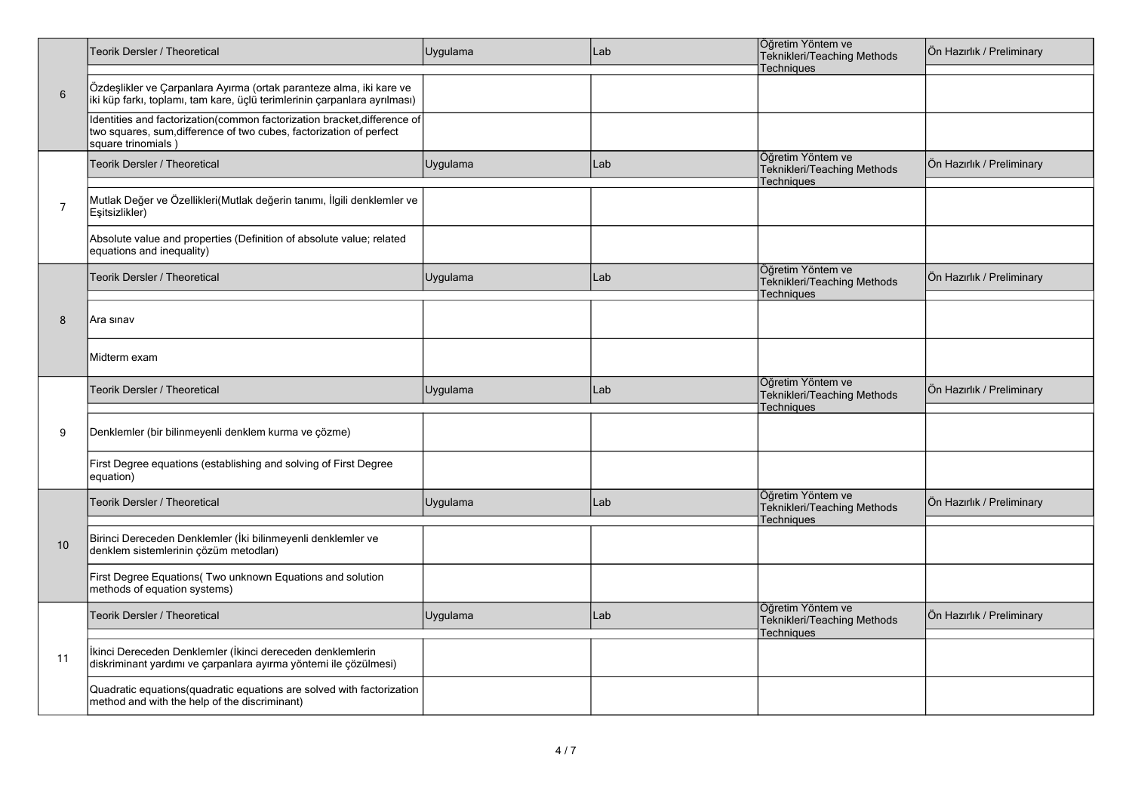|                | Teorik Dersler / Theoretical                                                                                                                                          | Uygulama | Lab | Öğretim Yöntem ve<br>Teknikleri/Teaching Methods<br>Techniques        | Ön Hazırlık / Preliminary |
|----------------|-----------------------------------------------------------------------------------------------------------------------------------------------------------------------|----------|-----|-----------------------------------------------------------------------|---------------------------|
| $6\phantom{1}$ | Özdeşlikler ve Çarpanlara Ayırma (ortak paranteze alma, iki kare ve<br>iki küp farkı, toplamı, tam kare, üçlü terimlerinin çarpanlara ayrılması)                      |          |     |                                                                       |                           |
|                | Identities and factorization(common factorization bracket, difference of<br>two squares, sum, difference of two cubes, factorization of perfect<br>square trinomials) |          |     |                                                                       |                           |
|                | Teorik Dersler / Theoretical                                                                                                                                          | Uygulama | Lab | Öğretim Yöntem ve<br>Teknikleri/Teaching Methods<br>Techniques        | Ön Hazırlık / Preliminary |
| $\overline{7}$ | Mutlak Değer ve Özellikleri(Mutlak değerin tanımı, İlgili denklemler ve<br>Eşitsizlikler)                                                                             |          |     |                                                                       |                           |
|                | Absolute value and properties (Definition of absolute value; related<br>equations and inequality)                                                                     |          |     |                                                                       |                           |
|                | <b>Teorik Dersler / Theoretical</b>                                                                                                                                   | Uygulama | Lab | Öğretim Yöntem ve<br>Teknikleri/Teaching Methods<br>Techniques        | Ön Hazırlık / Preliminary |
| 8              | Ara sınav                                                                                                                                                             |          |     |                                                                       |                           |
|                | Midterm exam                                                                                                                                                          |          |     |                                                                       |                           |
|                | Teorik Dersler / Theoretical                                                                                                                                          | Uygulama | Lab | Öğretim Yöntem ve<br>Teknikleri/Teaching Methods<br><b>Techniques</b> | Ön Hazırlık / Preliminary |
| 9              | Denklemler (bir bilinmeyenli denklem kurma ve çözme)                                                                                                                  |          |     |                                                                       |                           |
|                | First Degree equations (establishing and solving of First Degree<br>equation)                                                                                         |          |     |                                                                       |                           |
|                | Teorik Dersler / Theoretical                                                                                                                                          | Uygulama | Lab | Öğretim Yöntem ve<br>Teknikleri/Teaching Methods<br><b>Techniques</b> | Ön Hazırlık / Preliminary |
| 10             | Birinci Dereceden Denklemler (İki bilinmeyenli denklemler ve<br>denklem sistemlerinin çözüm metodları)                                                                |          |     |                                                                       |                           |
|                | First Degree Equations( Two unknown Equations and solution<br>methods of equation systems)                                                                            |          |     |                                                                       |                           |
|                | Teorik Dersler / Theoretical                                                                                                                                          | Uygulama | Lab | Öğretim Yöntem ve<br>Teknikleri/Teaching Methods<br>Techniques        | Ön Hazırlık / Preliminary |
| 11             | İkinci Dereceden Denklemler (İkinci dereceden denklemlerin<br>diskriminant yardımı ve çarpanlara ayırma yöntemi ile çözülmesi)                                        |          |     |                                                                       |                           |
|                | Quadratic equations(quadratic equations are solved with factorization<br>method and with the help of the discriminant)                                                |          |     |                                                                       |                           |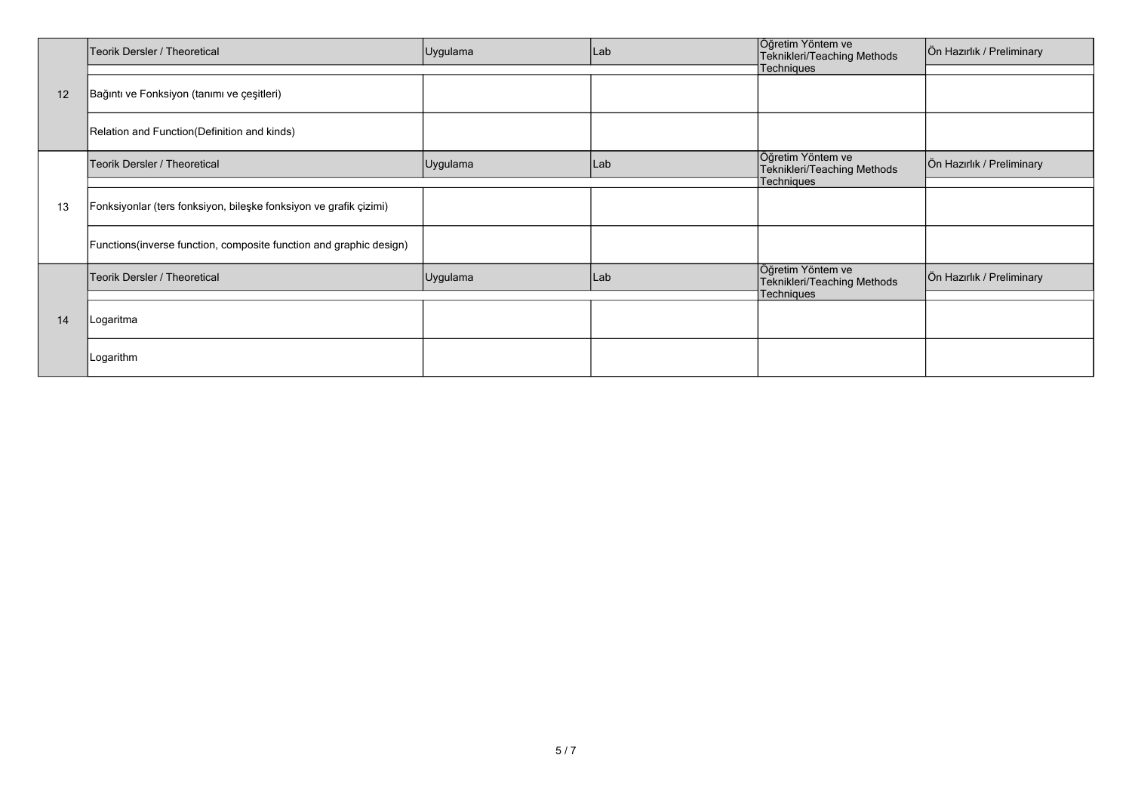|    | Teorik Dersler / Theoretical                                        | Uygulama | Lab | Öğretim Yöntem ve<br>Teknikleri/Teaching Methods | Ön Hazırlık / Preliminary |
|----|---------------------------------------------------------------------|----------|-----|--------------------------------------------------|---------------------------|
|    |                                                                     |          |     | Techniques                                       |                           |
| 12 | Bağıntı ve Fonksiyon (tanımı ve çeşitleri)                          |          |     |                                                  |                           |
|    | Relation and Function (Definition and kinds)                        |          |     |                                                  |                           |
|    | Teorik Dersler / Theoretical                                        | Uygulama | Lab | Öğretim Yöntem ve<br>Teknikleri/Teaching Methods | Ön Hazırlık / Preliminary |
|    |                                                                     |          |     | Techniques                                       |                           |
| 13 | Fonksiyonlar (ters fonksiyon, bileşke fonksiyon ve grafik çizimi)   |          |     |                                                  |                           |
|    | Functions (inverse function, composite function and graphic design) |          |     |                                                  |                           |
|    | Teorik Dersler / Theoretical                                        | Uygulama | Lab | Öğretim Yöntem ve<br>Teknikleri/Teaching Methods | Ön Hazırlık / Preliminary |
|    |                                                                     |          |     | Techniques                                       |                           |
| 14 | Logaritma                                                           |          |     |                                                  |                           |
|    | Logarithm                                                           |          |     |                                                  |                           |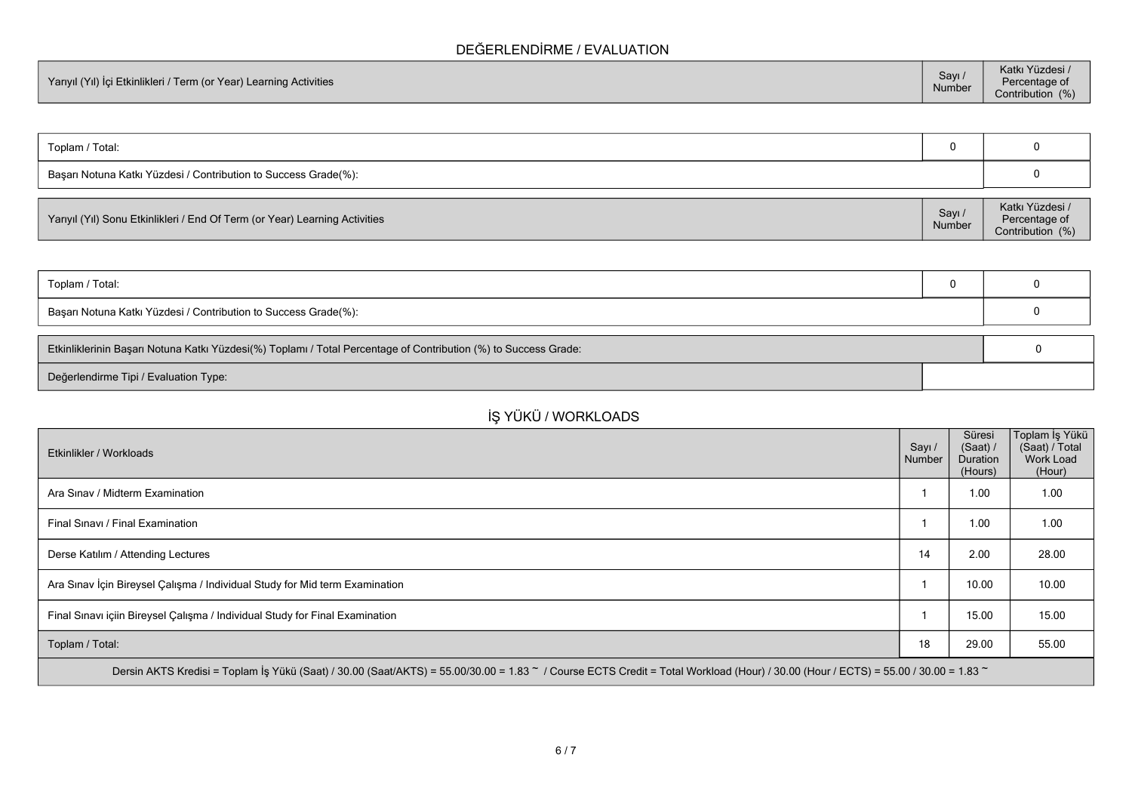### **DEĞERLENDİRME / EVALUATION**

| Yarıyıl (Yıl) İçi Etkinlikleri / Term (or Year) Learning Activities | Sayı /<br>Number | Katkı Yüzdesi /<br>Percentage of<br>Contribution (%) |
|---------------------------------------------------------------------|------------------|------------------------------------------------------|
|---------------------------------------------------------------------|------------------|------------------------------------------------------|

| Toplam / Total:                                                 |          |                 |
|-----------------------------------------------------------------|----------|-----------------|
| Başarı Notuna Katkı Yüzdesi / Contribution to Success Grade(%): |          |                 |
|                                                                 |          |                 |
|                                                                 | $C_{21}$ | Katkı Yüzdesi / |

| Yarıyıl (Yıl) Sonu Etkinlikleri / End Of Term (or Year) Learning Activities | Savi<br><b>Number</b> | Katki Yuzdesi /<br>Percentage of<br>Contribution (%) |
|-----------------------------------------------------------------------------|-----------------------|------------------------------------------------------|
|-----------------------------------------------------------------------------|-----------------------|------------------------------------------------------|

| Toplam / Total:                                                                                                 |  |  |  |  |  |
|-----------------------------------------------------------------------------------------------------------------|--|--|--|--|--|
| Başarı Notuna Katkı Yüzdesi / Contribution to Success Grade(%):                                                 |  |  |  |  |  |
| Etkinliklerinin Başarı Notuna Katkı Yüzdesi(%) Toplamı / Total Percentage of Contribution (%) to Success Grade: |  |  |  |  |  |
| Değerlendirme Tipi / Evaluation Type:                                                                           |  |  |  |  |  |

## **İŞ YÜKÜ / WORKLOADS**

| Etkinlikler / Workloads                                                                                                                                                            | Sayı /<br>Number | Süresi<br>(Saat) /<br>Duration<br>(Hours) | Toplam İş Yükü<br>(Saat) / Total<br><b>Work Load</b><br>(Hour) |  |  |  |  |  |
|------------------------------------------------------------------------------------------------------------------------------------------------------------------------------------|------------------|-------------------------------------------|----------------------------------------------------------------|--|--|--|--|--|
| Ara Sinav / Midterm Examination                                                                                                                                                    |                  | 1.00                                      | 1.00                                                           |  |  |  |  |  |
| Final Sinavi / Final Examination                                                                                                                                                   |                  | 1.00                                      | 1.00                                                           |  |  |  |  |  |
| Derse Katılım / Attending Lectures                                                                                                                                                 | 14               | 2.00                                      | 28.00                                                          |  |  |  |  |  |
| Ara Sınav İçin Bireysel Çalışma / Individual Study for Mid term Examination                                                                                                        |                  | 10.00                                     | 10.00                                                          |  |  |  |  |  |
| Final Sınavı içiin Bireysel Çalışma / Individual Study for Final Examination                                                                                                       |                  | 15.00                                     | 15.00                                                          |  |  |  |  |  |
| Toplam / Total:                                                                                                                                                                    | 18               | 29.00                                     | 55.00                                                          |  |  |  |  |  |
| Dersin AKTS Kredisi = Toplam İs Yükü (Saat) / 30.00 (Saat/AKTS) = 55.00/30.00 = 1.83 ~ / Course ECTS Credit = Total Workload (Hour) / 30.00 (Hour / ECTS) = 55.00 / 30.00 = 1.83 ~ |                  |                                           |                                                                |  |  |  |  |  |